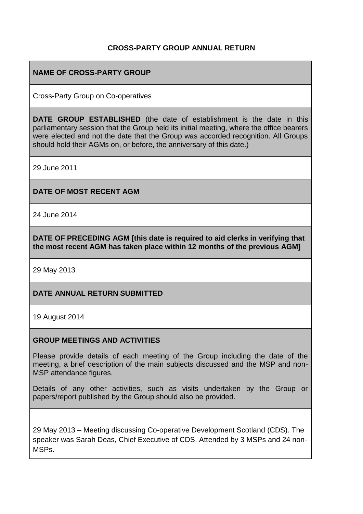## **CROSS-PARTY GROUP ANNUAL RETURN**

## **NAME OF CROSS-PARTY GROUP**

Cross-Party Group on Co-operatives

**DATE GROUP ESTABLISHED** (the date of establishment is the date in this parliamentary session that the Group held its initial meeting, where the office bearers were elected and not the date that the Group was accorded recognition. All Groups should hold their AGMs on, or before, the anniversary of this date.)

29 June 2011

**DATE OF MOST RECENT AGM**

24 June 2014

**DATE OF PRECEDING AGM [this date is required to aid clerks in verifying that the most recent AGM has taken place within 12 months of the previous AGM]**

29 May 2013

#### **DATE ANNUAL RETURN SUBMITTED**

19 August 2014

#### **GROUP MEETINGS AND ACTIVITIES**

Please provide details of each meeting of the Group including the date of the meeting, a brief description of the main subjects discussed and the MSP and non-MSP attendance figures.

Details of any other activities, such as visits undertaken by the Group or papers/report published by the Group should also be provided.

29 May 2013 – Meeting discussing Co-operative Development Scotland (CDS). The speaker was Sarah Deas, Chief Executive of CDS. Attended by 3 MSPs and 24 non-MSPs.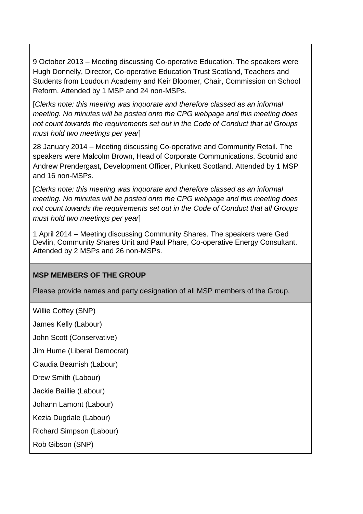9 October 2013 – Meeting discussing Co-operative Education. The speakers were Hugh Donnelly, Director, Co-operative Education Trust Scotland, Teachers and Students from Loudoun Academy and Keir Bloomer, Chair, Commission on School Reform. Attended by 1 MSP and 24 non-MSPs.

[*Clerks note: this meeting was inquorate and therefore classed as an informal meeting. No minutes will be posted onto the CPG webpage and this meeting does not count towards the requirements set out in the Code of Conduct that all Groups must hold two meetings per year*]

28 January 2014 – Meeting discussing Co-operative and Community Retail. The speakers were Malcolm Brown, Head of Corporate Communications, Scotmid and Andrew Prendergast, Development Officer, Plunkett Scotland. Attended by 1 MSP and 16 non-MSPs.

[*Clerks note: this meeting was inquorate and therefore classed as an informal meeting. No minutes will be posted onto the CPG webpage and this meeting does not count towards the requirements set out in the Code of Conduct that all Groups must hold two meetings per year*]

1 April 2014 – Meeting discussing Community Shares. The speakers were Ged Devlin, Community Shares Unit and Paul Phare, Co-operative Energy Consultant. Attended by 2 MSPs and 26 non-MSPs.

## **MSP MEMBERS OF THE GROUP**

Please provide names and party designation of all MSP members of the Group.

```
Willie Coffey (SNP)
James Kelly (Labour)
John Scott (Conservative)
Jim Hume (Liberal Democrat)
Claudia Beamish (Labour)
Drew Smith (Labour)
Jackie Baillie (Labour)
Johann Lamont (Labour)
Kezia Dugdale (Labour)
Richard Simpson (Labour)
Rob Gibson (SNP)
```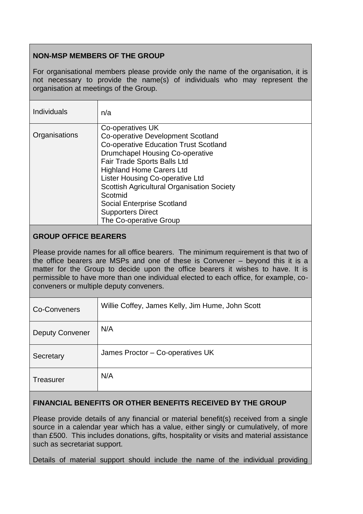# **NON-MSP MEMBERS OF THE GROUP**

For organisational members please provide only the name of the organisation, it is not necessary to provide the name(s) of individuals who may represent the organisation at meetings of the Group.

| <b>Individuals</b> | n/a                                                                                                                                                                                                                                                                                                                                                                                                                    |
|--------------------|------------------------------------------------------------------------------------------------------------------------------------------------------------------------------------------------------------------------------------------------------------------------------------------------------------------------------------------------------------------------------------------------------------------------|
| Organisations      | Co-operatives UK<br><b>Co-operative Development Scotland</b><br><b>Co-operative Education Trust Scotland</b><br><b>Drumchapel Housing Co-operative</b><br>Fair Trade Sports Balls Ltd<br><b>Highland Home Carers Ltd</b><br>Lister Housing Co-operative Ltd<br><b>Scottish Agricultural Organisation Society</b><br>Scotmid<br><b>Social Enterprise Scotland</b><br><b>Supporters Direct</b><br>The Co-operative Group |

## **GROUP OFFICE BEARERS**

Please provide names for all office bearers. The minimum requirement is that two of the office bearers are MSPs and one of these is Convener – beyond this it is a matter for the Group to decide upon the office bearers it wishes to have. It is permissible to have more than one individual elected to each office, for example, coconveners or multiple deputy conveners.

| Co-Conveners           | Willie Coffey, James Kelly, Jim Hume, John Scott |
|------------------------|--------------------------------------------------|
| <b>Deputy Convener</b> | N/A                                              |
| Secretary              | James Proctor - Co-operatives UK                 |
| <b>Treasurer</b>       | N/A                                              |

## **FINANCIAL BENEFITS OR OTHER BENEFITS RECEIVED BY THE GROUP**

Please provide details of any financial or material benefit(s) received from a single source in a calendar year which has a value, either singly or cumulatively, of more than £500. This includes donations, gifts, hospitality or visits and material assistance such as secretariat support.

Details of material support should include the name of the individual providing